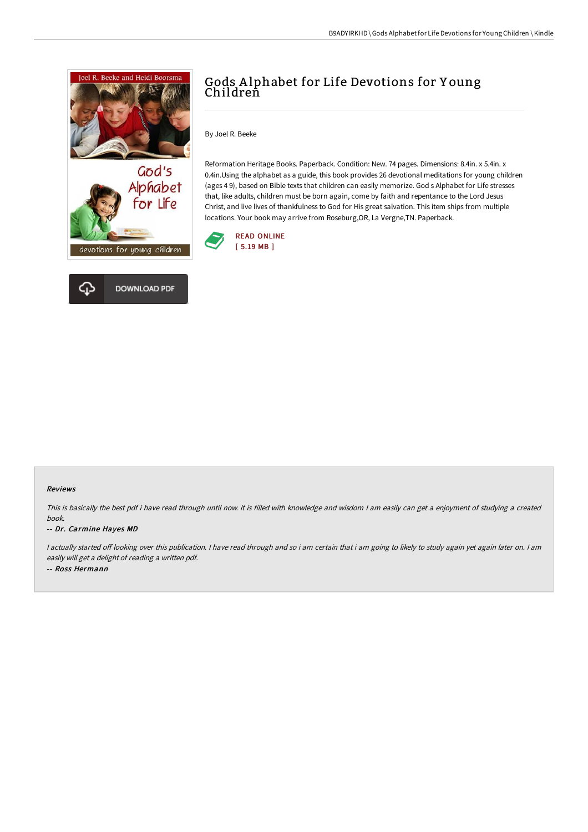



# Gods A lphabet for Life Devotions for Y oung Childreñ

By Joel R. Beeke

Reformation Heritage Books. Paperback. Condition: New. 74 pages. Dimensions: 8.4in. x 5.4in. x 0.4in.Using the alphabet as a guide, this book provides 26 devotional meditations for young children (ages 4 9), based on Bible texts that children can easily memorize. God s Alphabet for Life stresses that, like adults, children must be born again, come by faith and repentance to the Lord Jesus Christ, and live lives of thankfulness to God for His great salvation. This item ships from multiple locations. Your book may arrive from Roseburg,OR, La Vergne,TN. Paperback.



### Reviews

This is basically the best pdf i have read through until now. It is filled with knowledge and wisdom <sup>I</sup> am easily can get <sup>a</sup> enjoyment of studying <sup>a</sup> created book.

### -- Dr. Carmine Hayes MD

I actually started off looking over this publication. I have read through and so i am certain that i am going to likely to study again yet again later on. I am easily will get <sup>a</sup> delight of reading <sup>a</sup> written pdf. -- Ross Hermann